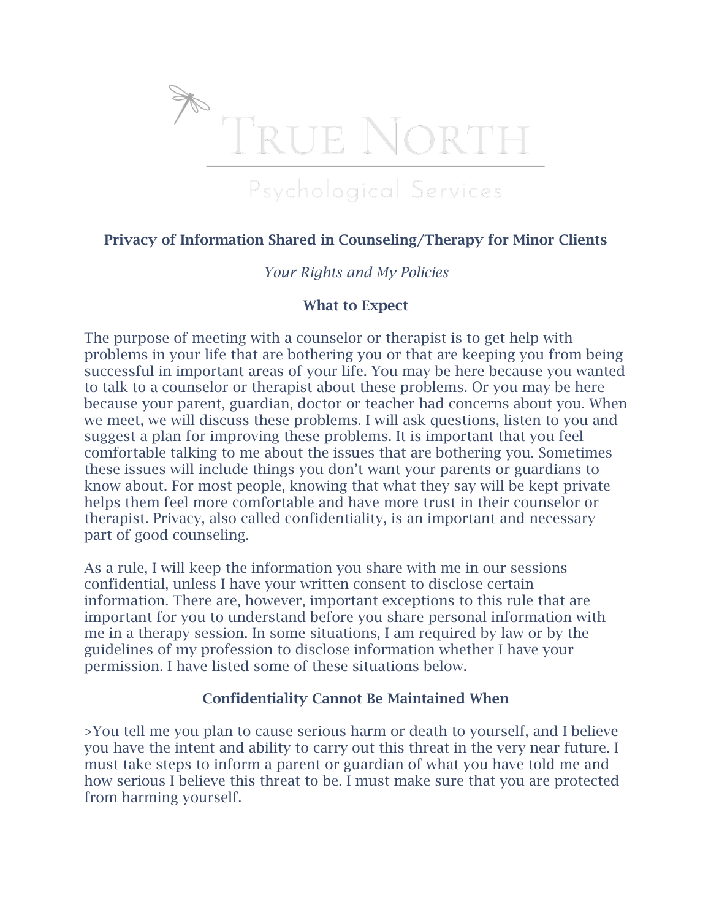

## Privacy of Information Shared in Counseling/Therapy for Minor Clients

## *Your Rights and My Policies*

#### What to Expect

The purpose of meeting with a counselor or therapist is to get help with problems in your life that are bothering you or that are keeping you from being successful in important areas of your life. You may be here because you wanted to talk to a counselor or therapist about these problems. Or you may be here because your parent, guardian, doctor or teacher had concerns about you. When we meet, we will discuss these problems. I will ask questions, listen to you and suggest a plan for improving these problems. It is important that you feel comfortable talking to me about the issues that are bothering you. Sometimes these issues will include things you don't want your parents or guardians to know about. For most people, knowing that what they say will be kept private helps them feel more comfortable and have more trust in their counselor or therapist. Privacy, also called confidentiality, is an important and necessary part of good counseling.

As a rule, I will keep the information you share with me in our sessions confidential, unless I have your written consent to disclose certain information. There are, however, important exceptions to this rule that are important for you to understand before you share personal information with me in a therapy session. In some situations, I am required by law or by the guidelines of my profession to disclose information whether I have your permission. I have listed some of these situations below.

#### Confidentiality Cannot Be Maintained When

>You tell me you plan to cause serious harm or death to yourself, and I believe you have the intent and ability to carry out this threat in the very near future. I must take steps to inform a parent or guardian of what you have told me and how serious I believe this threat to be. I must make sure that you are protected from harming yourself.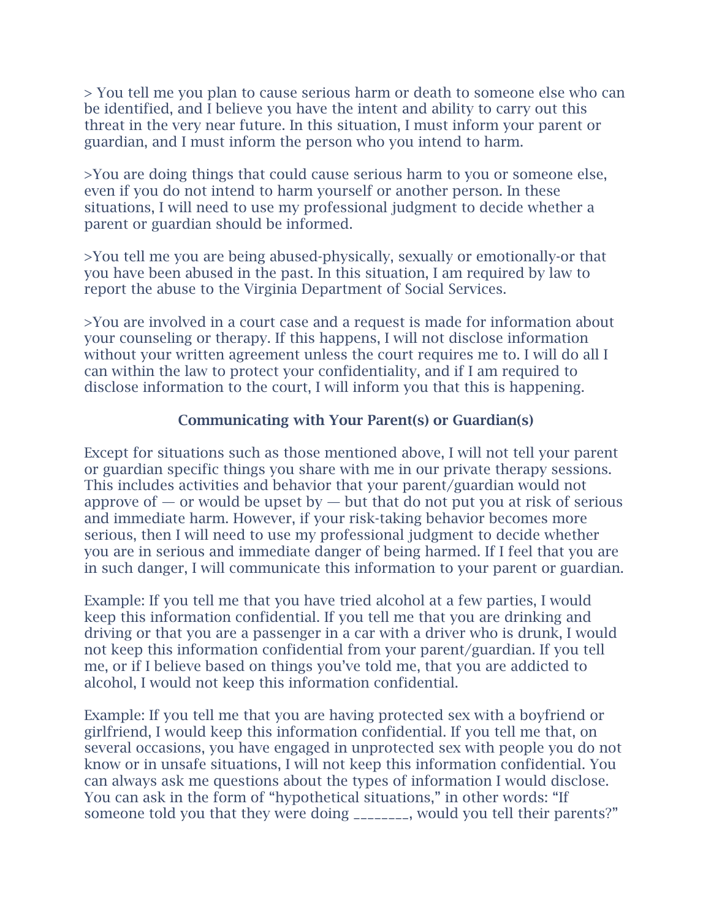> You tell me you plan to cause serious harm or death to someone else who can be identified, and I believe you have the intent and ability to carry out this threat in the very near future. In this situation, I must inform your parent or guardian, and I must inform the person who you intend to harm.

>You are doing things that could cause serious harm to you or someone else, even if you do not intend to harm yourself or another person. In these situations, I will need to use my professional judgment to decide whether a parent or guardian should be informed.

>You tell me you are being abused-physically, sexually or emotionally-or that you have been abused in the past. In this situation, I am required by law to report the abuse to the Virginia Department of Social Services.

>You are involved in a court case and a request is made for information about your counseling or therapy. If this happens, I will not disclose information without your written agreement unless the court requires me to. I will do all I can within the law to protect your confidentiality, and if I am required to disclose information to the court, I will inform you that this is happening.

## Communicating with Your Parent(s) or Guardian(s)

Except for situations such as those mentioned above, I will not tell your parent or guardian specific things you share with me in our private therapy sessions. This includes activities and behavior that your parent/guardian would not approve of  $-$  or would be upset by  $-$  but that do not put you at risk of serious and immediate harm. However, if your risk-taking behavior becomes more serious, then I will need to use my professional judgment to decide whether you are in serious and immediate danger of being harmed. If I feel that you are in such danger, I will communicate this information to your parent or guardian.

Example: If you tell me that you have tried alcohol at a few parties, I would keep this information confidential. If you tell me that you are drinking and driving or that you are a passenger in a car with a driver who is drunk, I would not keep this information confidential from your parent/guardian. If you tell me, or if I believe based on things you've told me, that you are addicted to alcohol, I would not keep this information confidential.

Example: If you tell me that you are having protected sex with a boyfriend or girlfriend, I would keep this information confidential. If you tell me that, on several occasions, you have engaged in unprotected sex with people you do not know or in unsafe situations, I will not keep this information confidential. You can always ask me questions about the types of information I would disclose. You can ask in the form of "hypothetical situations," in other words: "If someone told you that they were doing \_\_\_\_\_\_\_\_, would you tell their parents?"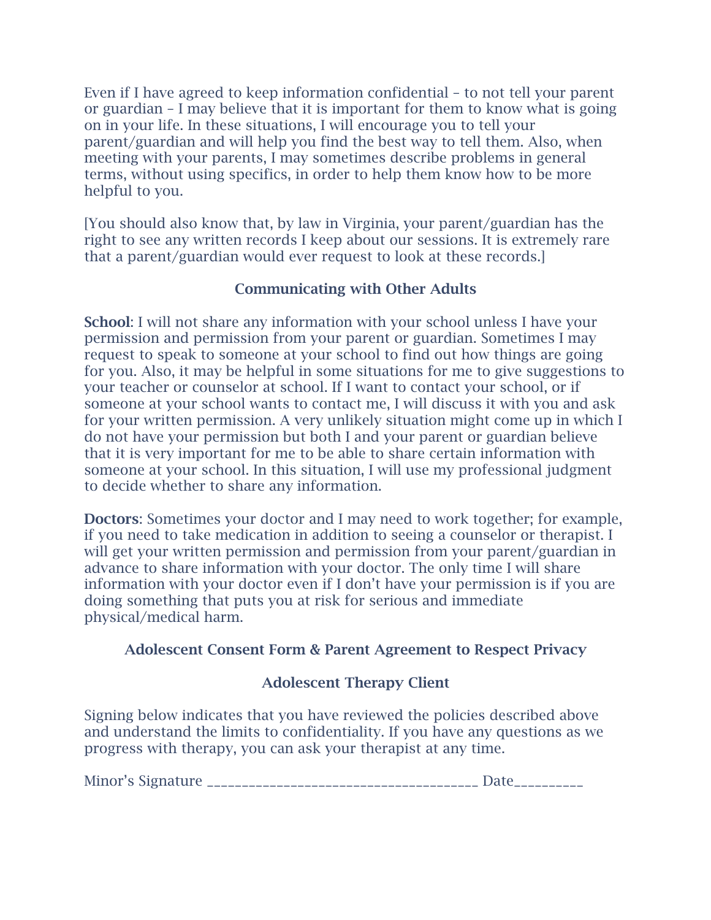Even if I have agreed to keep information confidential – to not tell your parent or guardian – I may believe that it is important for them to know what is going on in your life. In these situations, I will encourage you to tell your parent/guardian and will help you find the best way to tell them. Also, when meeting with your parents, I may sometimes describe problems in general terms, without using specifics, in order to help them know how to be more helpful to you.

[You should also know that, by law in Virginia, your parent/guardian has the right to see any written records I keep about our sessions. It is extremely rare that a parent/guardian would ever request to look at these records.]

# Communicating with Other Adults

School: I will not share any information with your school unless I have your permission and permission from your parent or guardian. Sometimes I may request to speak to someone at your school to find out how things are going for you. Also, it may be helpful in some situations for me to give suggestions to your teacher or counselor at school. If I want to contact your school, or if someone at your school wants to contact me, I will discuss it with you and ask for your written permission. A very unlikely situation might come up in which I do not have your permission but both I and your parent or guardian believe that it is very important for me to be able to share certain information with someone at your school. In this situation, I will use my professional judgment to decide whether to share any information.

Doctors: Sometimes your doctor and I may need to work together; for example, if you need to take medication in addition to seeing a counselor or therapist. I will get your written permission and permission from your parent/guardian in advance to share information with your doctor. The only time I will share information with your doctor even if I don't have your permission is if you are doing something that puts you at risk for serious and immediate physical/medical harm.

## Adolescent Consent Form & Parent Agreement to Respect Privacy

# Adolescent Therapy Client

Signing below indicates that you have reviewed the policies described above and understand the limits to confidentiality. If you have any questions as we progress with therapy, you can ask your therapist at any time.

| Minor's Signature |  | --------------- |
|-------------------|--|-----------------|
|-------------------|--|-----------------|